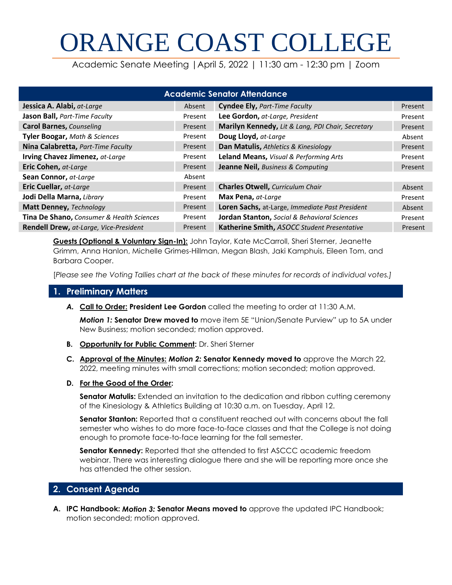# ORANGE COAST COLLEGE

Academic Senate Meeting |April 5, 2022 | 11:30 am - 12:30 pm | Zoom

| <b>Academic Senator Attendance</b>            |         |                                                   |         |  |  |
|-----------------------------------------------|---------|---------------------------------------------------|---------|--|--|
| Jessica A. Alabi, at-Large                    | Absent  | <b>Cyndee Ely, Part-Time Faculty</b>              | Present |  |  |
| Jason Ball, Part-Time Faculty                 | Present | Lee Gordon, at-Large, President                   | Present |  |  |
| <b>Carol Barnes, Counseling</b>               | Present | Marilyn Kennedy, Lit & Lang, PDI Chair, Secretary | Present |  |  |
| Tyler Boogar, Math & Sciences                 | Present | Doug Lloyd, at-Large                              | Absent  |  |  |
| Nina Calabretta, Part-Time Faculty            | Present | Dan Matulis, Athletics & Kinesiology              | Present |  |  |
| Irving Chavez Jimenez, at-Large               | Present | Leland Means, Visual & Performing Arts            | Present |  |  |
| Eric Cohen, at-Large                          | Present | Jeanne Neil, Business & Computing                 | Present |  |  |
| Sean Connor, at-Large                         | Absent  |                                                   |         |  |  |
| Eric Cuellar, at-Large                        | Present | <b>Charles Otwell, Curriculum Chair</b>           | Absent  |  |  |
| Jodi Della Marna, Library                     | Present | Max Pena, at-Large                                | Present |  |  |
| Matt Denney, Technology                       | Present | Loren Sachs, at-Large, Immediate Past President   | Absent  |  |  |
| Tina De Shano, Consumer & Health Sciences     | Present | Jordan Stanton, Social & Behavioral Sciences      | Present |  |  |
| <b>Rendell Drew, at-Large, Vice-President</b> | Present | Katherine Smith, ASOCC Student Presentative       | Present |  |  |

**Guests (Optional & Voluntary Sign-In):** John Taylor, Kate McCarroll, Sheri Sterner, Jeanette Grimm, Anna Hanlon, Michelle Grimes-Hillman, Megan Blash, Jaki Kamphuis, Eileen Tom, and Barbara Cooper.

[*Please see the Voting Tallies chart at the back of these minutes for records of individual votes.]*

# **1. Preliminary Matters**

*A.* **Call to Order: President Lee Gordon** called the meeting to order at 11:30 A.M.

*Motion 1:* **Senator Drew moved to** move item 5E "Union/Senate Purview" up to 5A under New Business; motion seconded; motion approved.

- **B. Opportunity for Public Comment:** Dr. Sheri Sterner
- **C. Approval of the Minutes:** *Motion 2:* **Senator Kennedy moved to** approve the March 22, 2022, meeting minutes with small corrections; motion seconded; motion approved.
- **D. For the Good of the Order:**

**Senator Matulis:** Extended an invitation to the dedication and ribbon cutting ceremony of the Kinesiology & Athletics Building at 10:30 a.m. on Tuesday, April 12.

**Senator Stanton:** Reported that a constituent reached out with concerns about the fall semester who wishes to do more face-to-face classes and that the College is not doing enough to promote face-to-face learning for the fall semester.

**Senator Kennedy:** Reported that she attended to first ASCCC academic freedom webinar. There was interesting dialogue there and she will be reporting more once she has attended the other session.

# **2. Consent Agenda**

**A. IPC Handbook:** *Motion 3:* **Senator Means moved to** approve the updated IPC Handbook; motion seconded; motion approved.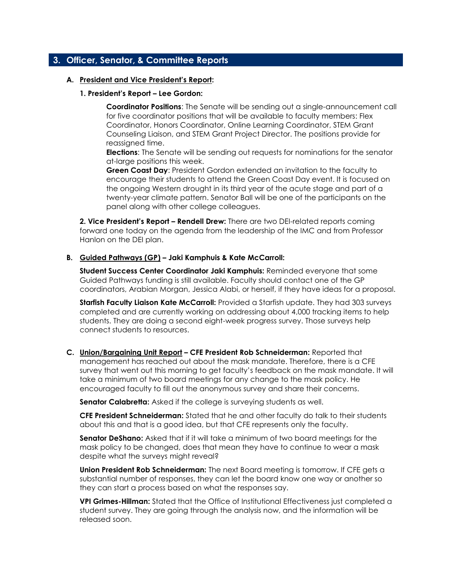# **3. Officer, Senator, & Committee Reports**

#### **A. President and Vice President's Report:**

#### **1. President's Report – Lee Gordon:**

**Coordinator Positions**: The Senate will be sending out a single-announcement call for five coordinator positions that will be available to faculty members: Flex Coordinator, Honors Coordinator, Online Learning Coordinator, STEM Grant Counseling Liaison, and STEM Grant Project Director. The positions provide for reassigned time.

**Elections**: The Senate will be sending out requests for nominations for the senator at-large positions this week.

**Green Coast Day**: President Gordon extended an invitation to the faculty to encourage their students to attend the Green Coast Day event. It is focused on the ongoing Western drought in its third year of the acute stage and part of a twenty-year climate pattern. Senator Ball will be one of the participants on the panel along with other college colleagues.

**2. Vice President's Report – Rendell Drew:** There are two DEI-related reports coming forward one today on the agenda from the leadership of the IMC and from Professor Hanlon on the DEI plan.

#### **B. Guided Pathways (GP) – Jaki Kamphuis & Kate McCarroll:**

**Student Success Center Coordinator Jaki Kamphuis:** Reminded everyone that some Guided Pathways funding is still available. Faculty should contact one of the GP coordinators, Arabian Morgan, Jessica Alabi, or herself, if they have ideas for a proposal.

**Starfish Faculty Liaison Kate McCarroll:** Provided a Starfish update. They had 303 surveys completed and are currently working on addressing about 4,000 tracking items to help students. They are doing a second eight-week progress survey. Those surveys help connect students to resources.

**C. Union/Bargaining Unit Report – CFE President Rob Schneiderman:** Reported that management has reached out about the mask mandate. Therefore, there is a CFE survey that went out this morning to get faculty's feedback on the mask mandate. It will take a minimum of two board meetings for any change to the mask policy. He encouraged faculty to fill out the anonymous survey and share their concerns.

**Senator Calabretta:** Asked if the college is surveying students as well.

**CFE President Schneiderman:** Stated that he and other faculty do talk to their students about this and that is a good idea, but that CFE represents only the faculty.

**Senator DeShano:** Asked that if it will take a minimum of two board meetings for the mask policy to be changed, does that mean they have to continue to wear a mask despite what the surveys might reveal?

**Union President Rob Schneiderman:** The next Board meeting is tomorrow. If CFE gets a substantial number of responses, they can let the board know one way or another so they can start a process based on what the responses say.

**VPI Grimes-Hillman:** Stated that the Office of Institutional Effectiveness just completed a student survey. They are going through the analysis now, and the information will be released soon.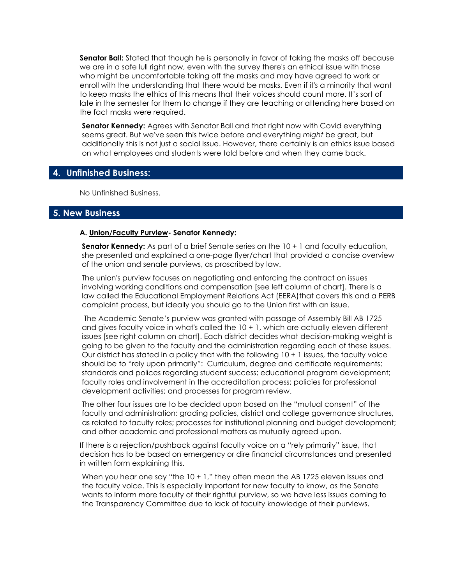**Senator Ball:** Stated that though he is personally in favor of taking the masks off because we are in a safe lull right now, even with the survey there's an ethical issue with those who might be uncomfortable taking off the masks and may have agreed to work or enroll with the understanding that there would be masks. Even if it's a minority that want to keep masks the ethics of this means that their voices should count more. It's sort of late in the semester for them to change if they are teaching or attending here based on the fact masks were required.

**Senator Kennedy:** Agrees with Senator Ball and that right now with Covid everything seems great. But we've seen this twice before and everything *might* be great, but additionally this is not just a social issue. However, there certainly is an ethics issue based on what employees and students were told before and when they came back.

### **4. Unfinished Business:**

No Unfinished Business.

# **5. New Business**

#### **A. Union/Faculty Purview- Senator Kennedy:**

**Senator Kennedy:** As part of a brief Senate series on the 10 + 1 and faculty education, she presented and explained a one-page flyer/chart that provided a concise overview of the union and senate purviews, as proscribed by law.

The union's purview focuses on negotiating and enforcing the contract on issues involving working conditions and compensation [see left column of chart]. There is a law called the Educational Employment Relations Act (EERA)that covers this and a PERB complaint process, but ideally you should go to the Union first with an issue.

The Academic Senate's purview was granted with passage of Assembly Bill AB 1725 and gives faculty voice in what's called the 10 + 1, which are actually eleven different issues [see right column on chart]. Each district decides what decision-making weight is going to be given to the faculty and the administration regarding each of these issues. Our district has stated in a policy that with the following 10 + 1 issues, the faculty voice should be to "rely upon primarily": Curriculum, degree and certificate requirements; standards and polices regarding student success; educational program development; faculty roles and involvement in the accreditation process; policies for professional development activities; and processes for program review.

The other four issues are to be decided upon based on the "mutual consent" of the faculty and administration: grading policies, district and college governance structures, as related to faculty roles; processes for institutional planning and budget development; and other academic and professional matters as mutually agreed upon.

If there is a rejection/pushback against faculty voice on a "rely primarily" issue, that decision has to be based on emergency or dire financial circumstances and presented in written form explaining this.

When you hear one say "the  $10 + 1$ ," they often mean the AB 1725 eleven issues and the faculty voice. This is especially important for new faculty to know, as the Senate wants to inform more faculty of their rightful purview, so we have less issues coming to the Transparency Committee due to lack of faculty knowledge of their purviews.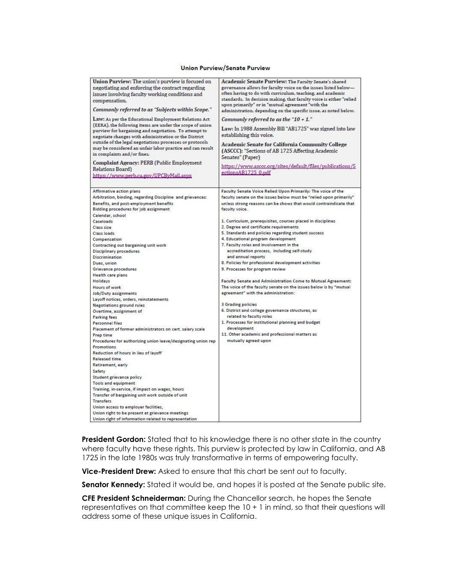#### **Union Purview/Senate Purview**

| Union Purview: The union's purview is focused on<br>negotiating and enforcing the contract regarding                                                                       | Academic Senate Purview: The Faculty Senate's shared<br>governance allows for faculty voice on the issues listed below-           |  |  |
|----------------------------------------------------------------------------------------------------------------------------------------------------------------------------|-----------------------------------------------------------------------------------------------------------------------------------|--|--|
| issues involving faculty working conditions and<br>compensation.                                                                                                           | often having to do with curriculum, teaching, and academic<br>standards. In decision making, that faculty voice is either "relied |  |  |
| Commonly referred to as "Subjects within Scope."                                                                                                                           | upon primarily" or in "mutual agreement "with the<br>administration, depending on the specific issue, as noted below.             |  |  |
| Law: As per the Educational Employment Relations Act                                                                                                                       | Commonly referred to as the "10 + 1."                                                                                             |  |  |
| (EERA), the following items are under the scope of union<br>purview for bargaining and negotiation. To attempt to<br>negotiate changes with administration or the District | Law: In 1988 Assembly Bill "AB1725" was signed into law<br>establishing this voice.                                               |  |  |
| outside of the legal negotiations processes or protocols<br>may be considered an unfair labor practice and can result<br>in complaints and/or fines.                       | Academic Senate for California Community College<br>(ASCCC): "Sections of AB 1725 Affecting Academic<br>Senates" (Paper)          |  |  |
| Complaint Agency: PERB (Public Employment<br>Relations Board)                                                                                                              | https://www.asccc.org/sites/default/files/publications/S<br>ectionsAB1725 0.pdf                                                   |  |  |
| https://www.perb.ca.gov/UPCBvMail.aspx                                                                                                                                     |                                                                                                                                   |  |  |
| Affirmative action plans                                                                                                                                                   | Faculty Senate Voice Relied Upon Primarily: The voice of the                                                                      |  |  |
| Arbitration, binding, regarding Discipline and grievances:                                                                                                                 | faculty senate on the issues below must be "relied upon primarily"                                                                |  |  |
| Benefits, and post-employment benefits<br>Bidding procedures for job assignment                                                                                            | unless strong reasons can be shows that would contraindicate that<br>faculty voice.                                               |  |  |
| Calendar, school                                                                                                                                                           |                                                                                                                                   |  |  |
| Caseloads                                                                                                                                                                  | 1. Curriculum, prerequisites, courses placed in disciplines                                                                       |  |  |
| Class size                                                                                                                                                                 | 2. Degree and certificate requirements                                                                                            |  |  |
| Class loads                                                                                                                                                                | 5. Standards and policies regarding student success                                                                               |  |  |
| Compensation                                                                                                                                                               | 4. Educational program development                                                                                                |  |  |
| Contracting out bargaining unit work                                                                                                                                       | 7. Faculty roles and involvement in the                                                                                           |  |  |
| Disciplinary procedures                                                                                                                                                    | accreditation process, including self-study<br>and annual reports                                                                 |  |  |
| Discrimination                                                                                                                                                             | 8. Policies for professional development activities                                                                               |  |  |
| Dues, union                                                                                                                                                                | 9. Processes for program review                                                                                                   |  |  |
| Grievance procedures<br>Health care plans                                                                                                                                  |                                                                                                                                   |  |  |
| Holidays                                                                                                                                                                   | Faculty Senate and Administration Come to Mutual Agreement:                                                                       |  |  |
| Hours of work                                                                                                                                                              | The voice of the faculty senate on the issues below is by "mutual                                                                 |  |  |
| Job/Duty assignments                                                                                                                                                       | agreement" with the administration:                                                                                               |  |  |
| Layoff notices, orders, reinstatements                                                                                                                                     |                                                                                                                                   |  |  |
| <b>Negotiations ground rules</b>                                                                                                                                           | 3 Grading policies                                                                                                                |  |  |
| Overtime, assignment of                                                                                                                                                    | 6. District and college governance structures, as                                                                                 |  |  |
| Parking fees                                                                                                                                                               | related to faculty roles                                                                                                          |  |  |
| Personnel files                                                                                                                                                            | 1. Processes for institutional planning and budget                                                                                |  |  |
| Placement of former administrators on cert. salary scale                                                                                                                   | development                                                                                                                       |  |  |
| Prep time                                                                                                                                                                  | 11. Other academic and professional matters as                                                                                    |  |  |
| Procedures for authorizing union leave/designating union rep                                                                                                               | mutually agreed upon                                                                                                              |  |  |
| Promotions                                                                                                                                                                 |                                                                                                                                   |  |  |
| Reduction of hours in lieu of layoff                                                                                                                                       |                                                                                                                                   |  |  |
| Released time                                                                                                                                                              |                                                                                                                                   |  |  |
| Retirement, early                                                                                                                                                          |                                                                                                                                   |  |  |
| Safety                                                                                                                                                                     |                                                                                                                                   |  |  |
| Student grievance policy                                                                                                                                                   |                                                                                                                                   |  |  |
| <b>Tools and equipment</b>                                                                                                                                                 |                                                                                                                                   |  |  |
| Training, in-service, if impact on wages, hours                                                                                                                            |                                                                                                                                   |  |  |
| Transfer of bargaining unit work outside of unit                                                                                                                           |                                                                                                                                   |  |  |
| <b>Transfers</b>                                                                                                                                                           |                                                                                                                                   |  |  |
| Union access to employer facilities,                                                                                                                                       |                                                                                                                                   |  |  |
| Union right to be present at grievance meetings                                                                                                                            |                                                                                                                                   |  |  |
| Union right of information related to representation                                                                                                                       |                                                                                                                                   |  |  |

**President Gordon:** Stated that to his knowledge there is no other state in the country where faculty have these rights. This purview is protected by law in California, and AB 1725 in the late 1980s was truly transformative in terms of empowering faculty.

**Vice-President Drew:** Asked to ensure that this chart be sent out to faculty.

Senator Kennedy: Stated it would be, and hopes it is posted at the Senate public site.

**CFE President Schneiderman:** During the Chancellor search, he hopes the Senate representatives on that committee keep the 10 + 1 in mind, so that their questions will address some of these unique issues in California.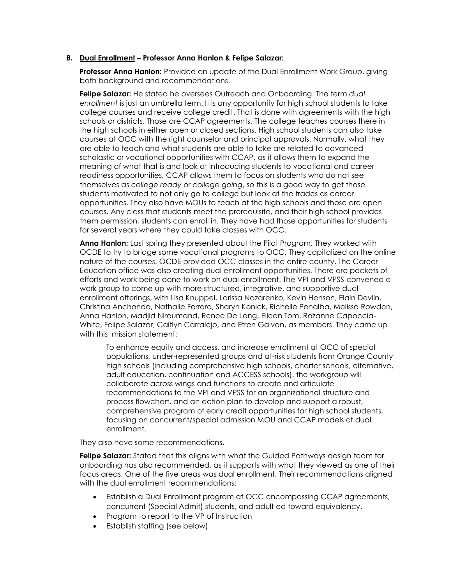#### *B.* **Dual Enrollment – Professor Anna Hanlon & Felipe Salazar:**

**Professor Anna Hanlon:** Provided an update of the Dual Enrollment Work Group, giving both background and recommendations.

**Felipe Salazar:** He stated he oversees Outreach and Onboarding. The term *dual enrollment* is just an umbrella term. It is any opportunity for high school students to take college courses and receive college credit. That is done with agreements with the high schools or districts. Those are CCAP agreements. The college teaches courses there in the high schools in either open or closed sections. High school students can also take courses at OCC with the right counselor and principal approvals. Normally, what they are able to teach and what students are able to take are related to advanced scholastic or vocational opportunities with CCAP, as it allows them to expand the meaning of what that is and look at introducing students to vocational and career readiness opportunities. CCAP allows them to focus on students who do not see themselves as *college ready* or *college going*, so this is a good way to get those students motivated to not only go to college but look at the trades as career opportunities. They also have MOUs to teach at the high schools and those are open courses. Any class that students meet the prerequisite, and their high school provides them permission, students can enroll in. They have had those opportunities for students for several years where they could take classes with OCC.

**Anna Hanlon:** Last spring they presented about the Pilot Program. They worked with OCDE to try to bridge some vocational programs to OCC. They capitalized on the online nature of the courses. OCDE provided OCC classes in the entire county. The Career Education office was also creating dual enrollment opportunities. There are pockets of efforts and work being done to work on dual enrollment. The VPI and VPSS convened a work group to come up with more structured, integrative, and supportive dual enrollment offerings, with Lisa Knuppel, Larissa Nazarenko, Kevin Henson, Elain Devlin, Christina Anchondo, Nathalie Ferrero, Sharyn Konick, Richelle Penalba, Melissa Rowden, Anna Hanlon, Madjid Niroumand, Renee De Long, Eileen Tom, Rozanne Capoccia-White, Felipe Salazar, Caitlyn Carralejo, and Efren Galvan, as members. They came up with this mission statement:

To enhance equity and access, and increase enrollment at OCC of special populations, under-represented groups and at-risk students from Orange County high schools (including comprehensive high schools, charter schools, alternative, adult education, continuation and ACCESS schools), the workgroup will collaborate across wings and functions to create and articulate recommendations to the VPI and VPSS for an organizational structure and process flowchart, and an action plan to develop and support a robust, comprehensive program of early credit opportunities for high school students, focusing on concurrent/special admission MOU and CCAP models of dual enrollment.

They also have some recommendations.

**Felipe Salazar:** Stated that this alians with what the Guided Pathways design team for onboarding has also recommended, as it supports with what they viewed as one of their focus areas. One of the five areas was dual enrollment. Their recommendations aligned with the dual enrollment recommendations:

- Establish a Dual Enrollment program at OCC encompassing CCAP agreements, concurrent (Special Admit) students, and adult ed toward equivalency.
- Program to report to the VP of Instruction
- Establish staffing (see below)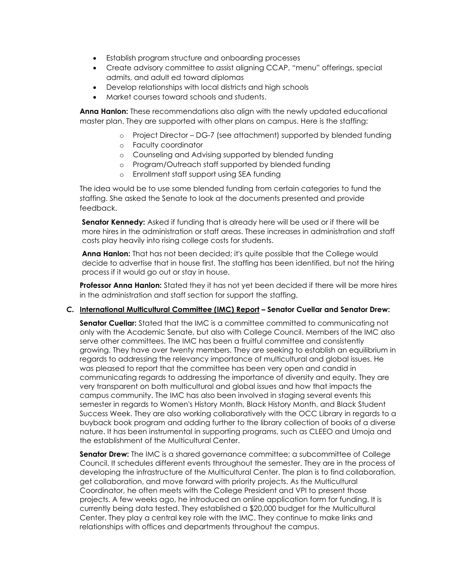- Establish program structure and onboarding processes
- Create advisory committee to assist aligning CCAP, "menu" offerings, special admits, and adult ed toward diplomas
- Develop relationships with local districts and high schools
- Market courses toward schools and students.

**Anna Hanlon:** These recommendations also align with the newly updated educational master plan. They are supported with other plans on campus. Here is the staffing:

- o Project Director DG-7 (see attachment) supported by blended funding
- o Faculty coordinator
- o Counseling and Advising supported by blended funding
- o Program/Outreach staff supported by blended funding
- o Enrollment staff support using SEA funding

The idea would be to use some blended funding from certain categories to fund the staffing. She asked the Senate to look at the documents presented and provide feedback.

**Senator Kennedy:** Asked if funding that is already here will be used or if there will be more hires in the administration or staff areas. These increases in administration and staff costs play heavily into rising college costs for students.

**Anna Hanlon:** That has not been decided; it's quite possible that the College would decide to advertise that in house first. The staffing has been identified, but not the hiring process if it would go out or stay in house.

**Professor Anna Hanlon:** Stated they it has not yet been decided if there will be more hires in the administration and staff section for support the staffing.

#### *C.* **International Multicultural Committee (IMC) Report – Senator Cuellar and Senator Drew:**

**Senator Cuellar:** Stated that the IMC is a committee committed to communicating not only with the Academic Senate, but also with College Council. Members of the IMC also serve other committees. The IMC has been a fruitful committee and consistently growing. They have over twenty members. They are seeking to establish an equilibrium in regards to addressing the relevancy importance of multicultural and global issues. He was pleased to report that the committee has been very open and candid in communicating regards to addressing the importance of diversity and equity. They are very transparent on both multicultural and global issues and how that impacts the campus community. The IMC has also been involved in staging several events this semester in regards to Women's History Month, Black History Month, and Black Student Success Week. They are also working collaboratively with the OCC Library in regards to a buyback book program and adding further to the library collection of books of a diverse nature. It has been instrumental in supporting programs, such as CLEEO and Umoja and the establishment of the Multicultural Center.

**Senator Drew:** The IMC is a shared governance committee; a subcommittee of College Council. It schedules different events throughout the semester. They are in the process of developing the infrastructure of the Multicultural Center. The plan is to find collaboration, get collaboration, and move forward with priority projects. As the Multicultural Coordinator, he often meets with the College President and VPI to present those projects. A few weeks ago, he introduced an online application form for funding. It is currently being data tested. They established a \$20,000 budget for the Multicultural Center. They play a central key role with the IMC. They continue to make links and relationships with offices and departments throughout the campus.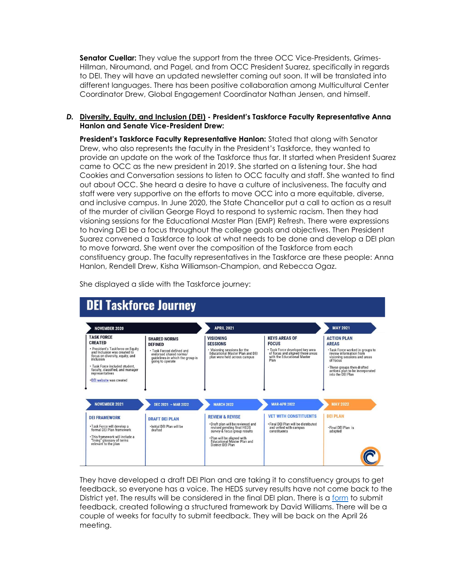**Senator Cuellar:** They value the support from the three OCC Vice-Presidents, Grimes-Hillman, Niroumand, and Pagel, and from OCC President Suarez, specifically in regards to DEI. They will have an updated newsletter coming out soon. It will be translated into different languages. There has been positive collaboration among Multicultural Center Coordinator Drew, Global Engagement Coordinator Nathan Jensen, and himself.

#### *D.* **Diversity, Equity, and Inclusion (DEI) - President's Taskforce Faculty Representative Anna Hanlon and Senate Vice-President Drew:**

**President's Taskforce Faculty Representative Hanlon:** Stated that along with Senator Drew, who also represents the faculty in the President's Taskforce, they wanted to provide an update on the work of the Taskforce thus far. It started when President Suarez came to OCC as the new president in 2019. She started on a listening tour. She had Cookies and Conversation sessions to listen to OCC faculty and staff. She wanted to find out about OCC. She heard a desire to have a culture of inclusiveness. The faculty and staff were very supportive on the efforts to move OCC into a more equitable, diverse, and inclusive campus. In June 2020, the State Chancellor put a call to action as a result of the murder of civilian George Floyd to respond to systemic racism. Then they had visioning sessions for the Educational Master Plan (EMP) Refresh. There were expressions to having DEI be a focus throughout the college goals and objectives. Then President Suarez convened a Taskforce to look at what needs to be done and develop a DEI plan to move forward. She went over the composition of the Taskforce from each constituency group. The faculty representatives in the Taskforce are these people: Anna Hanlon, Rendell Drew, Kisha Williamson-Champion, and Rebecca Ogaz.



She displayed a slide with the Taskforce journey:

They have developed a draft DEI Plan and are taking it to constituency groups to get feedback, so everyone has a voice. The HEDS survey results have not come back to the District yet. The results will be considered in the final DEI plan. There is a [form](https://docs.google.com/forms/d/e/1FAIpQLSfTYuKXJSIucT8Zy1Z3WQF35EfC2xJ7UvP89e4_TgFr7PqVMg/viewform) to submit feedback, created following a structured framework by David Williams. There will be a couple of weeks for faculty to submit feedback. They will be back on the April 26 meeting.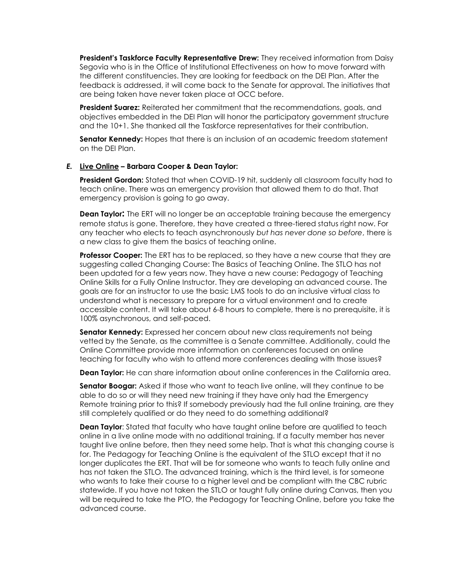**President's Taskforce Faculty Representative Drew:** They received information from Daisy Segovia who is in the Office of Institutional Effectiveness on how to move forward with the different constituencies. They are looking for feedback on the DEI Plan. After the feedback is addressed, it will come back to the Senate for approval. The initiatives that are being taken have never taken place at OCC before.

**President Suarez:** Reiterated her commitment that the recommendations, goals, and objectives embedded in the DEI Plan will honor the participatory government structure and the 10+1. She thanked all the Taskforce representatives for their contribution.

**Senator Kennedy:** Hopes that there is an inclusion of an academic freedom statement on the DEI Plan.

#### *E.* **Live Online – Barbara Cooper & Dean Taylor:**

**President Gordon:** Stated that when COVID-19 hit, suddenly all classroom faculty had to teach online. There was an emergency provision that allowed them to do that. That emergency provision is going to go away.

**Dean Taylor:** The ERT will no longer be an acceptable training because the emergency remote status is gone. Therefore, they have created a three-tiered status right now. For any teacher who elects to teach asynchronously *but has never done so before*, there is a new class to give them the basics of teaching online.

**Professor Cooper:** The ERT has to be replaced, so they have a new course that they are suggesting called Changing Course: The Basics of Teaching Online. The STLO has not been updated for a few years now. They have a new course: Pedagogy of Teaching Online Skills for a Fully Online Instructor. They are developing an advanced course. The goals are for an instructor to use the basic LMS tools to do an inclusive virtual class to understand what is necessary to prepare for a virtual environment and to create accessible content. It will take about 6-8 hours to complete, there is no prerequisite, it is 100% asynchronous, and self-paced.

**Senator Kennedy:** Expressed her concern about new class requirements not being vetted by the Senate, as the committee is a Senate committee. Additionally, could the Online Committee provide more information on conferences focused on online teaching for faculty who wish to attend more conferences dealing with those issues?

**Dean Taylor:** He can share information about online conferences in the California area.

**Senator Boogar:** Asked if those who want to teach live online, will they continue to be able to do so or will they need new training if they have only had the Emergency Remote training prior to this? If somebody previously had the full online training, are they still completely qualified or do they need to do something additional?

**Dean Taylor**: Stated that faculty who have taught online before are qualified to teach online in a live online mode with no additional training. If a faculty member has never taught live online before, then they need some help. That is what this changing course is for. The Pedagogy for Teaching Online is the equivalent of the STLO except that it no longer duplicates the ERT. That will be for someone who wants to teach fully online and has not taken the STLO. The advanced training, which is the third level, is for someone who wants to take their course to a higher level and be compliant with the CBC rubric statewide. If you have not taken the STLO or taught fully online during Canvas, then you will be required to take the PTO, the Pedagogy for Teaching Online, before you take the advanced course.